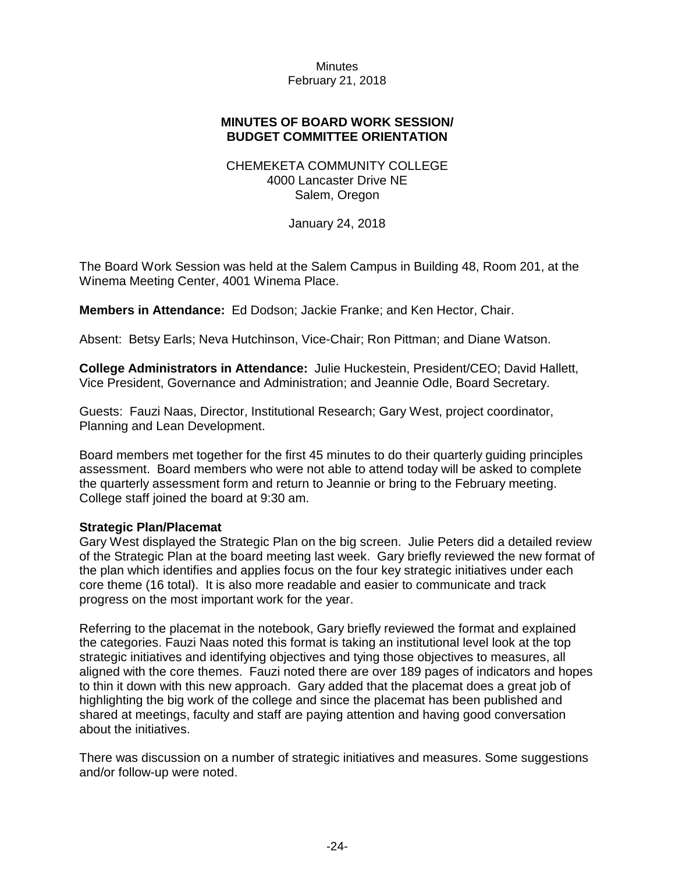## **MINUTES OF BOARD WORK SESSION/ BUDGET COMMITTEE ORIENTATION**

## CHEMEKETA COMMUNITY COLLEGE 4000 Lancaster Drive NE Salem, Oregon

January 24, 2018

The Board Work Session was held at the Salem Campus in Building 48, Room 201, at the Winema Meeting Center, 4001 Winema Place.

**Members in Attendance:** Ed Dodson; Jackie Franke; and Ken Hector, Chair.

Absent: Betsy Earls; Neva Hutchinson, Vice-Chair; Ron Pittman; and Diane Watson.

**College Administrators in Attendance:** Julie Huckestein, President/CEO; David Hallett, Vice President, Governance and Administration; and Jeannie Odle, Board Secretary.

Guests: Fauzi Naas, Director, Institutional Research; Gary West, project coordinator, Planning and Lean Development.

Board members met together for the first 45 minutes to do their quarterly guiding principles assessment. Board members who were not able to attend today will be asked to complete the quarterly assessment form and return to Jeannie or bring to the February meeting. College staff joined the board at 9:30 am.

### **Strategic Plan/Placemat**

Gary West displayed the Strategic Plan on the big screen. Julie Peters did a detailed review of the Strategic Plan at the board meeting last week. Gary briefly reviewed the new format of the plan which identifies and applies focus on the four key strategic initiatives under each core theme (16 total). It is also more readable and easier to communicate and track progress on the most important work for the year.

Referring to the placemat in the notebook, Gary briefly reviewed the format and explained the categories. Fauzi Naas noted this format is taking an institutional level look at the top strategic initiatives and identifying objectives and tying those objectives to measures, all aligned with the core themes. Fauzi noted there are over 189 pages of indicators and hopes to thin it down with this new approach. Gary added that the placemat does a great job of highlighting the big work of the college and since the placemat has been published and shared at meetings, faculty and staff are paying attention and having good conversation about the initiatives.

There was discussion on a number of strategic initiatives and measures. Some suggestions and/or follow-up were noted.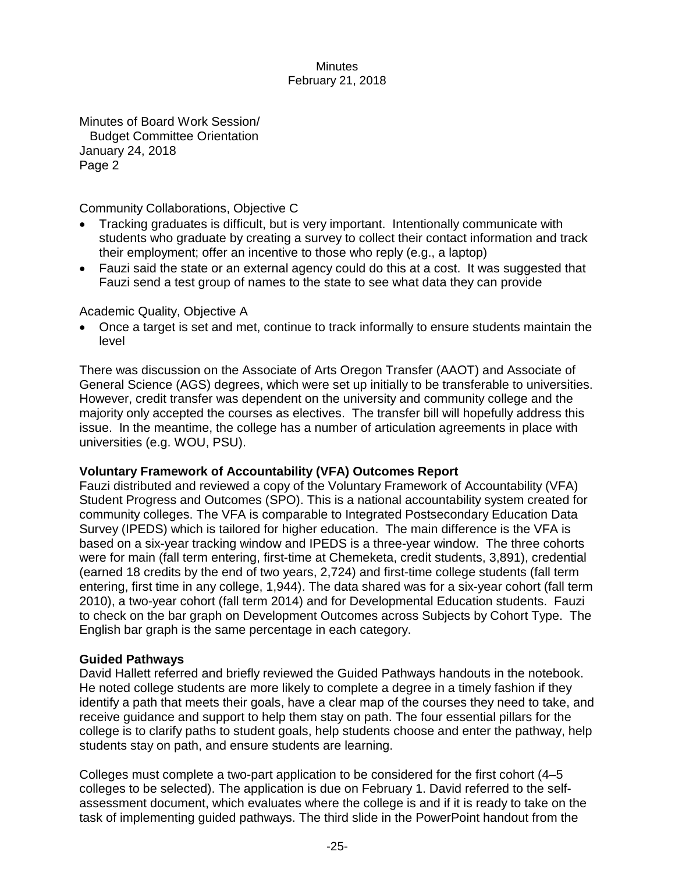Minutes of Board Work Session/ Budget Committee Orientation January 24, 2018 Page 2

Community Collaborations, Objective C

- Tracking graduates is difficult, but is very important. Intentionally communicate with students who graduate by creating a survey to collect their contact information and track their employment; offer an incentive to those who reply (e.g., a laptop)
- Fauzi said the state or an external agency could do this at a cost. It was suggested that Fauzi send a test group of names to the state to see what data they can provide

Academic Quality, Objective A

• Once a target is set and met, continue to track informally to ensure students maintain the level

There was discussion on the Associate of Arts Oregon Transfer (AAOT) and Associate of General Science (AGS) degrees, which were set up initially to be transferable to universities. However, credit transfer was dependent on the university and community college and the majority only accepted the courses as electives. The transfer bill will hopefully address this issue. In the meantime, the college has a number of articulation agreements in place with universities (e.g. WOU, PSU).

# **Voluntary Framework of Accountability (VFA) Outcomes Report**

Fauzi distributed and reviewed a copy of the Voluntary Framework of Accountability (VFA) Student Progress and Outcomes (SPO). This is a national accountability system created for community colleges. The VFA is comparable to Integrated Postsecondary Education Data Survey (IPEDS) which is tailored for higher education. The main difference is the VFA is based on a six-year tracking window and IPEDS is a three-year window. The three cohorts were for main (fall term entering, first-time at Chemeketa, credit students, 3,891), credential (earned 18 credits by the end of two years, 2,724) and first-time college students (fall term entering, first time in any college, 1,944). The data shared was for a six-year cohort (fall term 2010), a two-year cohort (fall term 2014) and for Developmental Education students. Fauzi to check on the bar graph on Development Outcomes across Subjects by Cohort Type. The English bar graph is the same percentage in each category.

# **Guided Pathways**

David Hallett referred and briefly reviewed the Guided Pathways handouts in the notebook. He noted college students are more likely to complete a degree in a timely fashion if they identify a path that meets their goals, have a clear map of the courses they need to take, and receive guidance and support to help them stay on path. The four essential pillars for the college is to clarify paths to student goals, help students choose and enter the pathway, help students stay on path, and ensure students are learning.

Colleges must complete a two-part application to be considered for the first cohort (4–5 colleges to be selected). The application is due on February 1. David referred to the selfassessment document, which evaluates where the college is and if it is ready to take on the task of implementing guided pathways. The third slide in the PowerPoint handout from the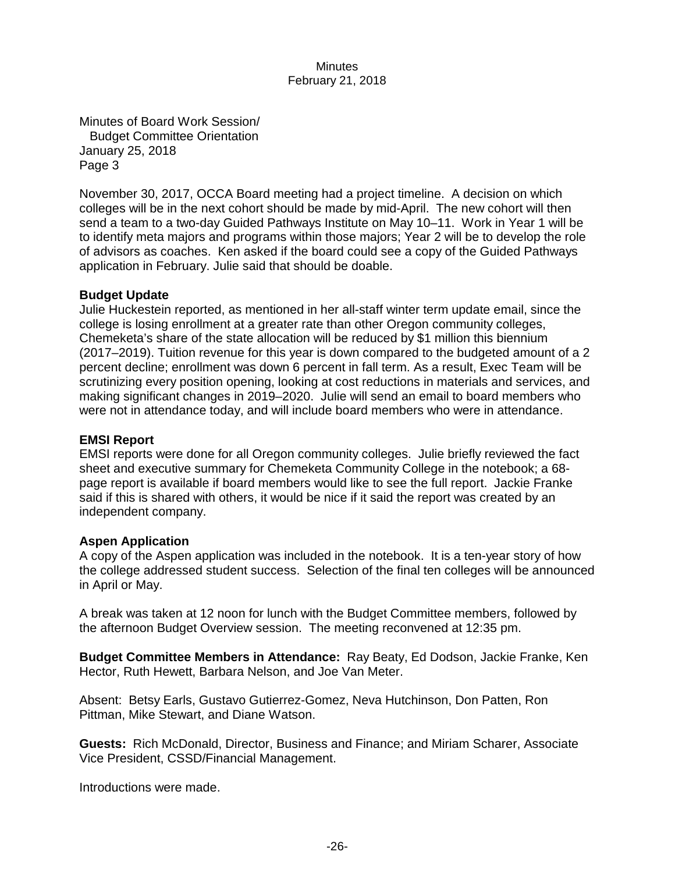Minutes of Board Work Session/ Budget Committee Orientation January 25, 2018 Page 3

November 30, 2017, OCCA Board meeting had a project timeline. A decision on which colleges will be in the next cohort should be made by mid-April. The new cohort will then send a team to a two-day Guided Pathways Institute on May 10–11. Work in Year 1 will be to identify meta majors and programs within those majors; Year 2 will be to develop the role of advisors as coaches. Ken asked if the board could see a copy of the Guided Pathways application in February. Julie said that should be doable.

## **Budget Update**

Julie Huckestein reported, as mentioned in her all-staff winter term update email, since the college is losing enrollment at a greater rate than other Oregon community colleges, Chemeketa's share of the state allocation will be reduced by \$1 million this biennium (2017–2019). Tuition revenue for this year is down compared to the budgeted amount of a 2 percent decline; enrollment was down 6 percent in fall term. As a result, Exec Team will be scrutinizing every position opening, looking at cost reductions in materials and services, and making significant changes in 2019–2020. Julie will send an email to board members who were not in attendance today, and will include board members who were in attendance.

## **EMSI Report**

EMSI reports were done for all Oregon community colleges. Julie briefly reviewed the fact sheet and executive summary for Chemeketa Community College in the notebook; a 68 page report is available if board members would like to see the full report. Jackie Franke said if this is shared with others, it would be nice if it said the report was created by an independent company.

### **Aspen Application**

A copy of the Aspen application was included in the notebook. It is a ten-year story of how the college addressed student success. Selection of the final ten colleges will be announced in April or May.

A break was taken at 12 noon for lunch with the Budget Committee members, followed by the afternoon Budget Overview session. The meeting reconvened at 12:35 pm.

**Budget Committee Members in Attendance:** Ray Beaty, Ed Dodson, Jackie Franke, Ken Hector, Ruth Hewett, Barbara Nelson, and Joe Van Meter.

Absent: Betsy Earls, Gustavo Gutierrez-Gomez, Neva Hutchinson, Don Patten, Ron Pittman, Mike Stewart, and Diane Watson.

**Guests:** Rich McDonald, Director, Business and Finance; and Miriam Scharer, Associate Vice President, CSSD/Financial Management.

Introductions were made.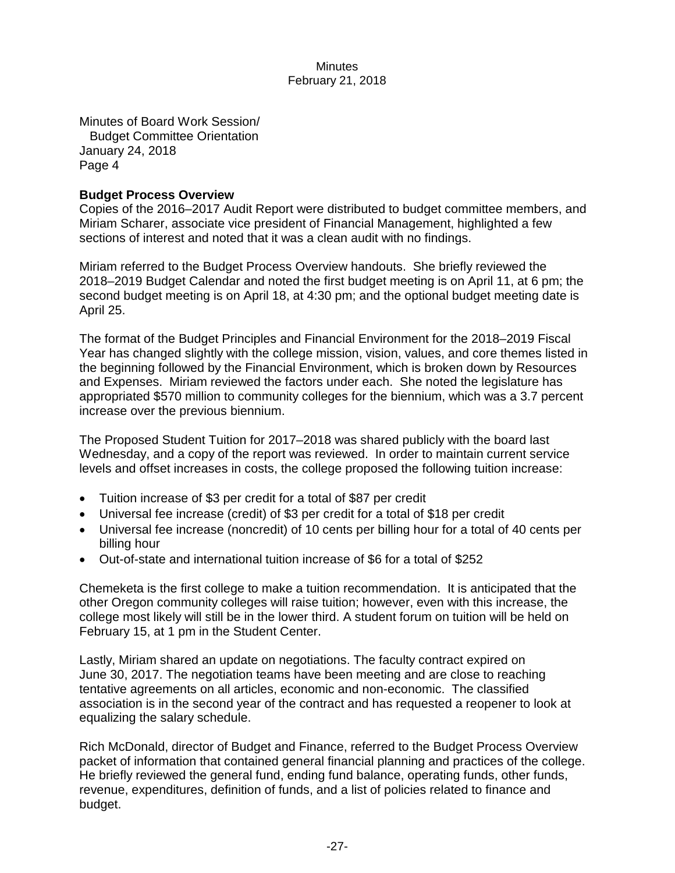Minutes of Board Work Session/ Budget Committee Orientation January 24, 2018 Page 4

## **Budget Process Overview**

Copies of the 2016–2017 Audit Report were distributed to budget committee members, and Miriam Scharer, associate vice president of Financial Management, highlighted a few sections of interest and noted that it was a clean audit with no findings.

Miriam referred to the Budget Process Overview handouts. She briefly reviewed the 2018–2019 Budget Calendar and noted the first budget meeting is on April 11, at 6 pm; the second budget meeting is on April 18, at 4:30 pm; and the optional budget meeting date is April 25.

The format of the Budget Principles and Financial Environment for the 2018–2019 Fiscal Year has changed slightly with the college mission, vision, values, and core themes listed in the beginning followed by the Financial Environment, which is broken down by Resources and Expenses. Miriam reviewed the factors under each. She noted the legislature has appropriated \$570 million to community colleges for the biennium, which was a 3.7 percent increase over the previous biennium.

The Proposed Student Tuition for 2017–2018 was shared publicly with the board last Wednesday, and a copy of the report was reviewed. In order to maintain current service levels and offset increases in costs, the college proposed the following tuition increase:

- Tuition increase of \$3 per credit for a total of \$87 per credit
- Universal fee increase (credit) of \$3 per credit for a total of \$18 per credit
- Universal fee increase (noncredit) of 10 cents per billing hour for a total of 40 cents per billing hour
- Out-of-state and international tuition increase of \$6 for a total of \$252

Chemeketa is the first college to make a tuition recommendation. It is anticipated that the other Oregon community colleges will raise tuition; however, even with this increase, the college most likely will still be in the lower third. A student forum on tuition will be held on February 15, at 1 pm in the Student Center.

Lastly, Miriam shared an update on negotiations. The faculty contract expired on June 30, 2017. The negotiation teams have been meeting and are close to reaching tentative agreements on all articles, economic and non-economic. The classified association is in the second year of the contract and has requested a reopener to look at equalizing the salary schedule.

Rich McDonald, director of Budget and Finance, referred to the Budget Process Overview packet of information that contained general financial planning and practices of the college. He briefly reviewed the general fund, ending fund balance, operating funds, other funds, revenue, expenditures, definition of funds, and a list of policies related to finance and budget.